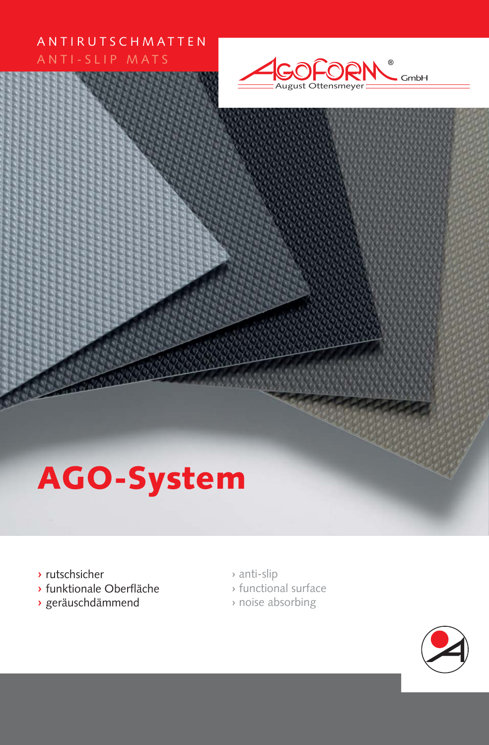#### ANTIRUTSCHMATTEN ANTI-SLIP MATS



# **AGO-System**

- **›** rutschsicher
- **›** funktionale Oberfläche
- **›** geräuschdämmend
- **›** anti-slip
- **›** functional surface
- **›** noise absorbing

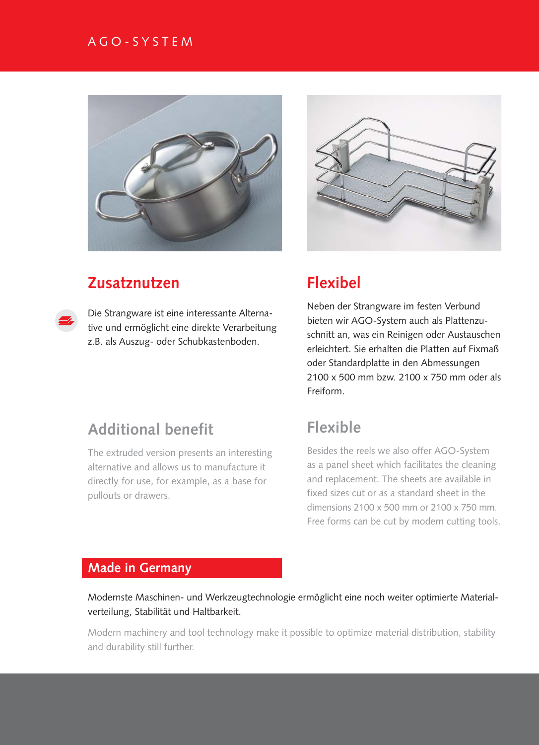#### AGO-SYSTEM



## **Zusatznutzen**

Die Strangware ist eine interessante Alternative und ermöglicht eine direkte Verarbeitung z.B. als Auszug- oder Schubkastenboden.



## **Flexibel**

Neben der Strangware im festen Verbund bieten wir AGO-System auch als Plattenzuschnitt an, was ein Reinigen oder Austauschen erleichtert. Sie erhalten die Platten auf Fixmaß oder Standardplatte in den Abmessungen 2100 x 500 mm bzw. 2100 x 750 mm oder als Freiform.

# **Additional benefit**

The extruded version presents an interesting alternative and allows us to manufacture it directly for use, for example, as a base for pullouts or drawers.

## **Flexible**

Besides the reels we also offer AGO-System as a panel sheet which facilitates the cleaning and replacement. The sheets are available in fixed sizes cut or as a standard sheet in the dimensions 2100 x 500 mm or 2100 x 750 mm. Free forms can be cut by modern cutting tools.

#### **Made in Germany**

Modernste Maschinen- und Werkzeugtechnologie ermöglicht eine noch weiter optimierte Materialverteilung, Stabilität und Haltbarkeit.

Modern machinery and tool technology make it possible to optimize material distribution, stability and durability still further.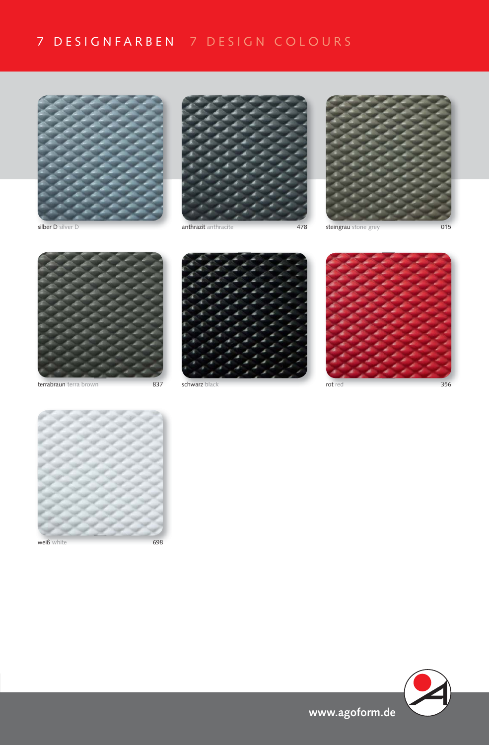# 7 DESIGNFARBEN 7 DESIGN COLOURS





silber D silver D anthrazit anthrazit anthracite and the discussion of the steingrau stone grey and the O15 of the S





terrabraun terra brown 837 schwarz black rot red terrabraun terra 837 rot





356



weiß white 698